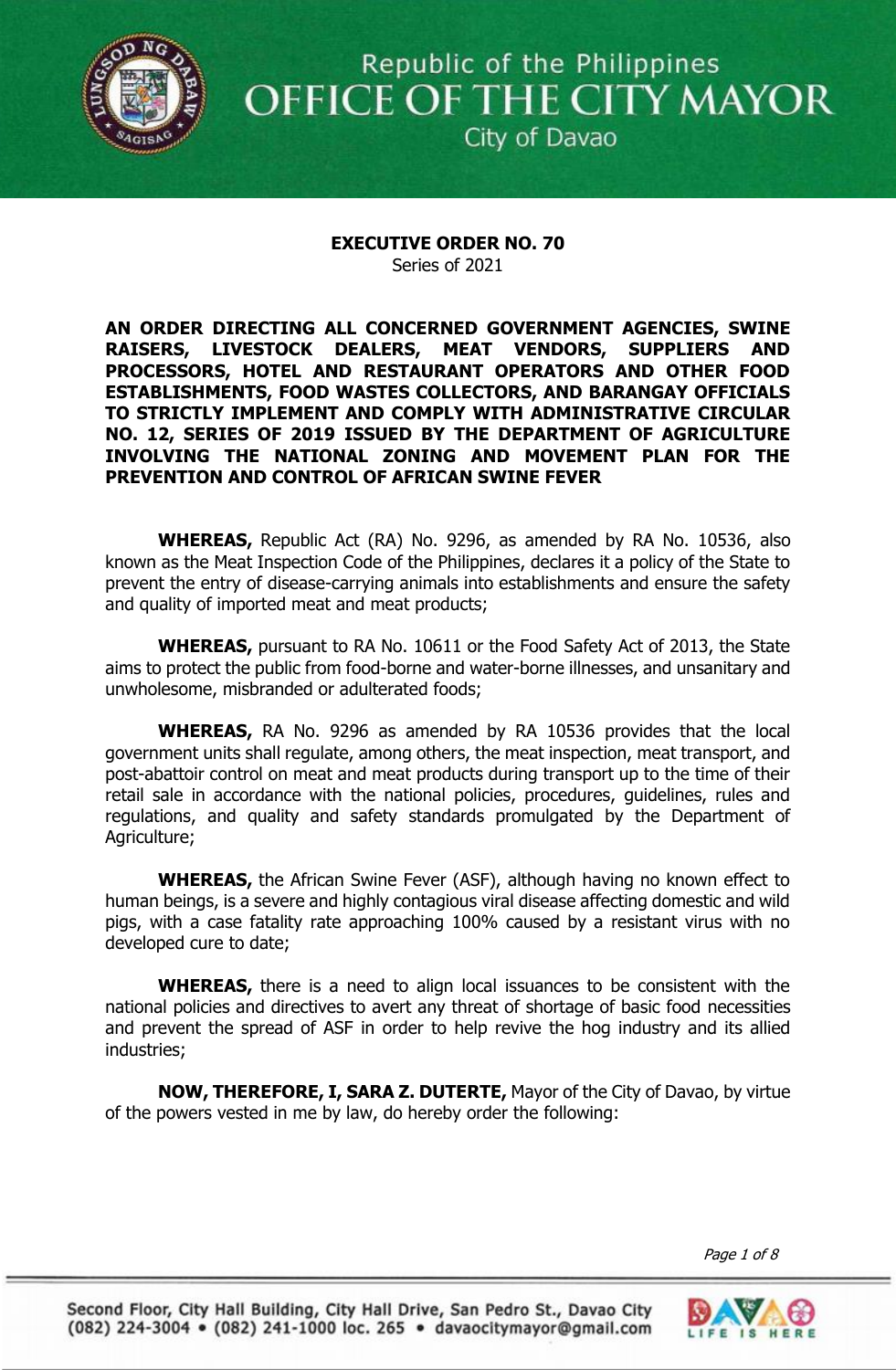

Republic of the Philippines OFFICE OF THE CITY MAYOR

City of Davao

## **EXECUTIVE ORDER NO. 70** Series of 2021

**AN ORDER DIRECTING ALL CONCERNED GOVERNMENT AGENCIES, SWINE RAISERS, LIVESTOCK DEALERS, MEAT VENDORS, SUPPLIERS AND PROCESSORS, HOTEL AND RESTAURANT OPERATORS AND OTHER FOOD ESTABLISHMENTS, FOOD WASTES COLLECTORS, AND BARANGAY OFFICIALS TO STRICTLY IMPLEMENT AND COMPLY WITH ADMINISTRATIVE CIRCULAR NO. 12, SERIES OF 2019 ISSUED BY THE DEPARTMENT OF AGRICULTURE INVOLVING THE NATIONAL ZONING AND MOVEMENT PLAN FOR THE PREVENTION AND CONTROL OF AFRICAN SWINE FEVER**

**WHEREAS,** Republic Act (RA) No. 9296, as amended by RA No. 10536, also known as the Meat Inspection Code of the Philippines, declares it a policy of the State to prevent the entry of disease-carrying animals into establishments and ensure the safety and quality of imported meat and meat products;

**WHEREAS,** pursuant to RA No. 10611 or the Food Safety Act of 2013, the State aims to protect the public from food-borne and water-borne illnesses, and unsanitary and unwholesome, misbranded or adulterated foods;

**WHEREAS,** RA No. 9296 as amended by RA 10536 provides that the local government units shall regulate, among others, the meat inspection, meat transport, and post-abattoir control on meat and meat products during transport up to the time of their retail sale in accordance with the national policies, procedures, guidelines, rules and regulations, and quality and safety standards promulgated by the Department of Agriculture;

**WHEREAS,** the African Swine Fever (ASF), although having no known effect to human beings, is a severe and highly contagious viral disease affecting domestic and wild pigs, with a case fatality rate approaching 100% caused by a resistant virus with no developed cure to date;

**WHEREAS,** there is a need to align local issuances to be consistent with the national policies and directives to avert any threat of shortage of basic food necessities and prevent the spread of ASF in order to help revive the hog industry and its allied industries;

**NOW, THEREFORE, I, SARA Z. DUTERTE,** Mayor of the City of Davao, by virtue of the powers vested in me by law, do hereby order the following:

*ESTABLISHMENTS, FOOD WASTES COLLECTORS, AND BARANGAY OFFICIALS TO STRICTLY IMPLEMENT AND COMPLY ADMINISTRATIVE CIRCULAR NO. 12, OF*  $\delta$ Page 1 of 8

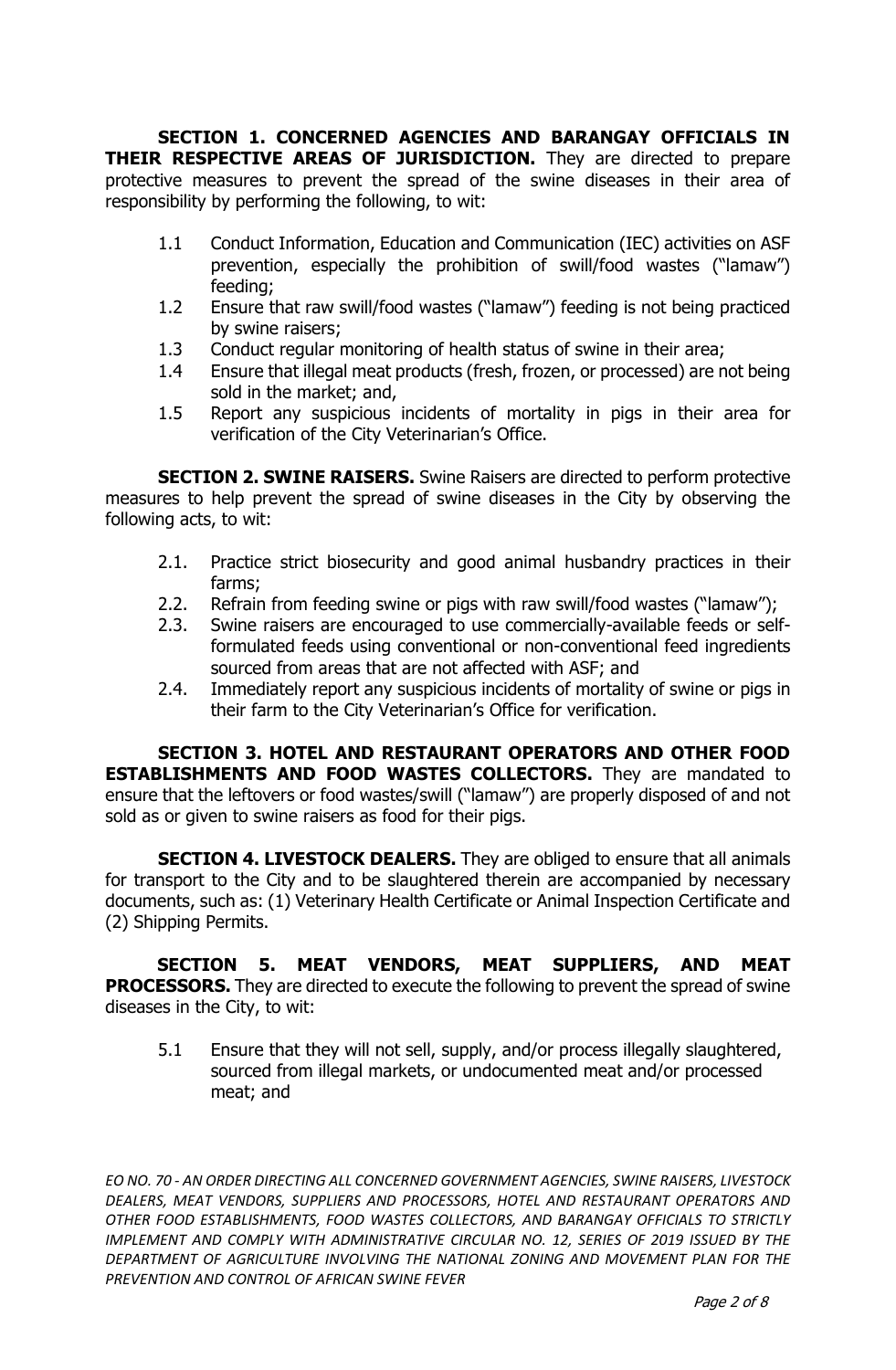**SECTION 1. CONCERNED AGENCIES AND BARANGAY OFFICIALS IN THEIR RESPECTIVE AREAS OF JURISDICTION.** They are directed to prepare protective measures to prevent the spread of the swine diseases in their area of responsibility by performing the following, to wit:

- 1.1 Conduct Information, Education and Communication (IEC) activities on ASF prevention, especially the prohibition of swill/food wastes ("lamaw") feeding;
- 1.2 Ensure that raw swill/food wastes ("lamaw") feeding is not being practiced by swine raisers;
- 1.3 Conduct regular monitoring of health status of swine in their area;
- 1.4 Ensure that illegal meat products (fresh, frozen, or processed) are not being sold in the market; and,
- 1.5 Report any suspicious incidents of mortality in pigs in their area for verification of the City Veterinarian's Office.

**SECTION 2. SWINE RAISERS.** Swine Raisers are directed to perform protective measures to help prevent the spread of swine diseases in the City by observing the following acts, to wit:

- 2.1. Practice strict biosecurity and good animal husbandry practices in their farms;
- 2.2. Refrain from feeding swine or pigs with raw swill/food wastes ("lamaw");
- 2.3. Swine raisers are encouraged to use commercially-available feeds or selfformulated feeds using conventional or non-conventional feed ingredients sourced from areas that are not affected with ASF; and
- 2.4. Immediately report any suspicious incidents of mortality of swine or pigs in their farm to the City Veterinarian's Office for verification.

**SECTION 3. HOTEL AND RESTAURANT OPERATORS AND OTHER FOOD ESTABLISHMENTS AND FOOD WASTES COLLECTORS.** They are mandated to ensure that the leftovers or food wastes/swill ("lamaw") are properly disposed of and not sold as or given to swine raisers as food for their pigs.

**SECTION 4. LIVESTOCK DEALERS.** They are obliged to ensure that all animals for transport to the City and to be slaughtered therein are accompanied by necessary documents, such as: (1) Veterinary Health Certificate or Animal Inspection Certificate and (2) Shipping Permits.

**SECTION 5. MEAT VENDORS, MEAT SUPPLIERS, AND MEAT PROCESSORS.** They are directed to execute the following to prevent the spread of swine diseases in the City, to wit:

5.1 Ensure that they will not sell, supply, and/or process illegally slaughtered, sourced from illegal markets, or undocumented meat and/or processed meat; and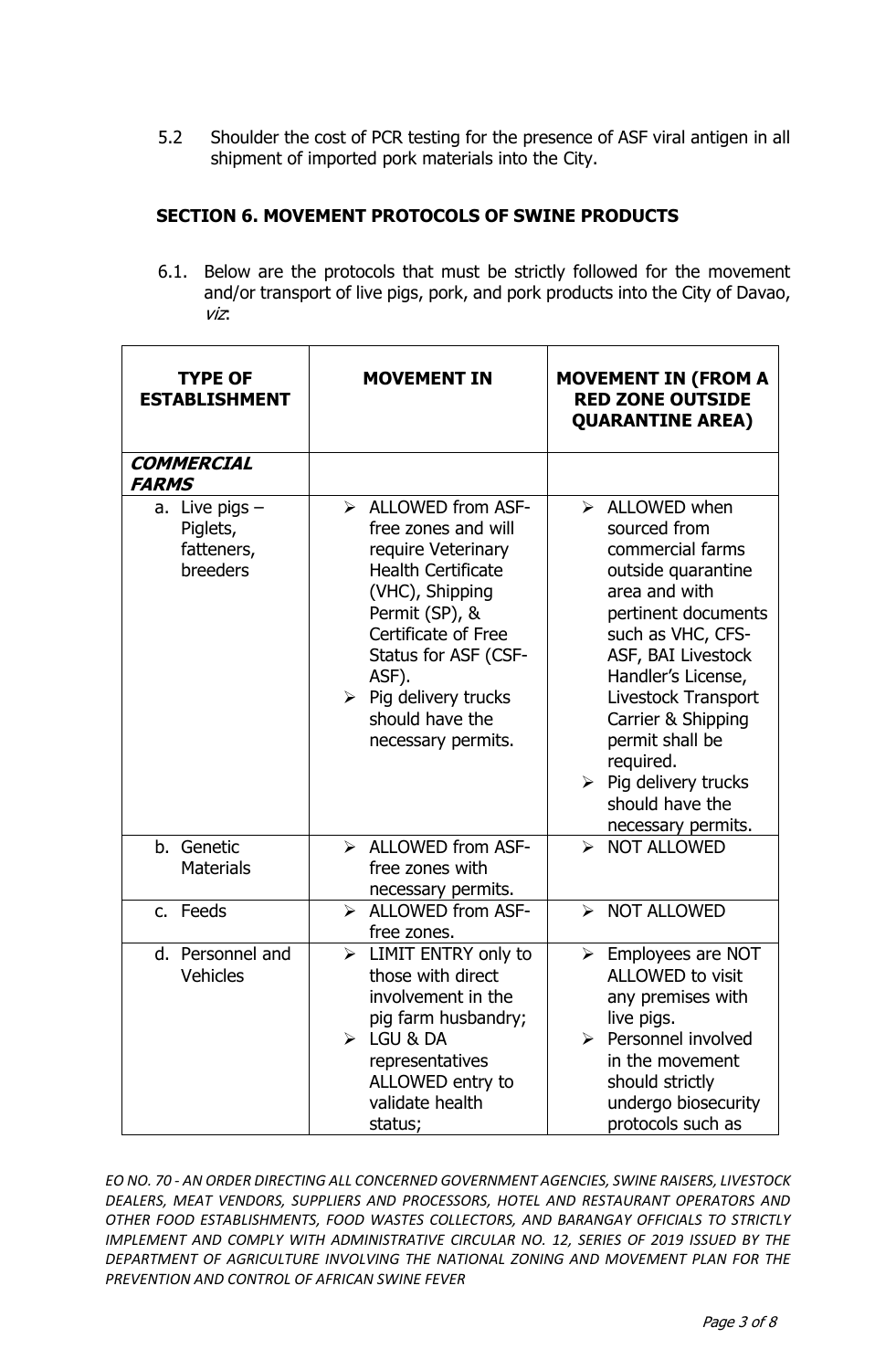5.2 Shoulder the cost of PCR testing for the presence of ASF viral antigen in all shipment of imported pork materials into the City.

## **SECTION 6. MOVEMENT PROTOCOLS OF SWINE PRODUCTS**

6.1. Below are the protocols that must be strictly followed for the movement and/or transport of live pigs, pork, and pork products into the City of Davao, viz:

| <b>TYPE OF</b><br><b>ESTABLISHMENT</b>                 | <b>MOVEMENT IN</b>                                                                                                                                                                                                                                                                         | <b>MOVEMENT IN (FROM A</b><br><b>RED ZONE OUTSIDE</b><br><b>QUARANTINE AREA)</b>                                                                                                                                                                                                                                                                               |
|--------------------------------------------------------|--------------------------------------------------------------------------------------------------------------------------------------------------------------------------------------------------------------------------------------------------------------------------------------------|----------------------------------------------------------------------------------------------------------------------------------------------------------------------------------------------------------------------------------------------------------------------------------------------------------------------------------------------------------------|
| <b>COMMERCIAL</b><br><b>FARMS</b>                      |                                                                                                                                                                                                                                                                                            |                                                                                                                                                                                                                                                                                                                                                                |
| a. Live pigs $-$<br>Piglets,<br>fatteners,<br>breeders | $\triangleright$ ALLOWED from ASF-<br>free zones and will<br>require Veterinary<br><b>Health Certificate</b><br>(VHC), Shipping<br>Permit (SP), &<br>Certificate of Free<br>Status for ASF (CSF-<br>ASF).<br>$\triangleright$ Pig delivery trucks<br>should have the<br>necessary permits. | $\triangleright$ ALLOWED when<br>sourced from<br>commercial farms<br>outside quarantine<br>area and with<br>pertinent documents<br>such as VHC, CFS-<br>ASF, BAI Livestock<br>Handler's License,<br>Livestock Transport<br>Carrier & Shipping<br>permit shall be<br>required.<br>$\triangleright$ Pig delivery trucks<br>should have the<br>necessary permits. |
| b. Genetic<br><b>Materials</b>                         | $\triangleright$ ALLOWED from ASF-<br>free zones with<br>necessary permits.                                                                                                                                                                                                                | > NOT ALLOWED                                                                                                                                                                                                                                                                                                                                                  |
| c. Feeds                                               | <b>ALLOWED from ASF-</b><br>$\blacktriangleright$<br>free zones.                                                                                                                                                                                                                           | > NOT ALLOWED                                                                                                                                                                                                                                                                                                                                                  |
| d. Personnel and<br><b>Vehicles</b>                    | LIMIT ENTRY only to<br>$\blacktriangleright$<br>those with direct<br>involvement in the<br>pig farm husbandry;<br>$\triangleright$ LGU & DA<br>representatives<br>ALLOWED entry to<br>validate health<br>status;                                                                           | $\triangleright$ Employees are NOT<br>ALLOWED to visit<br>any premises with<br>live pigs.<br>$\triangleright$ Personnel involved<br>in the movement<br>should strictly<br>undergo biosecurity<br>protocols such as                                                                                                                                             |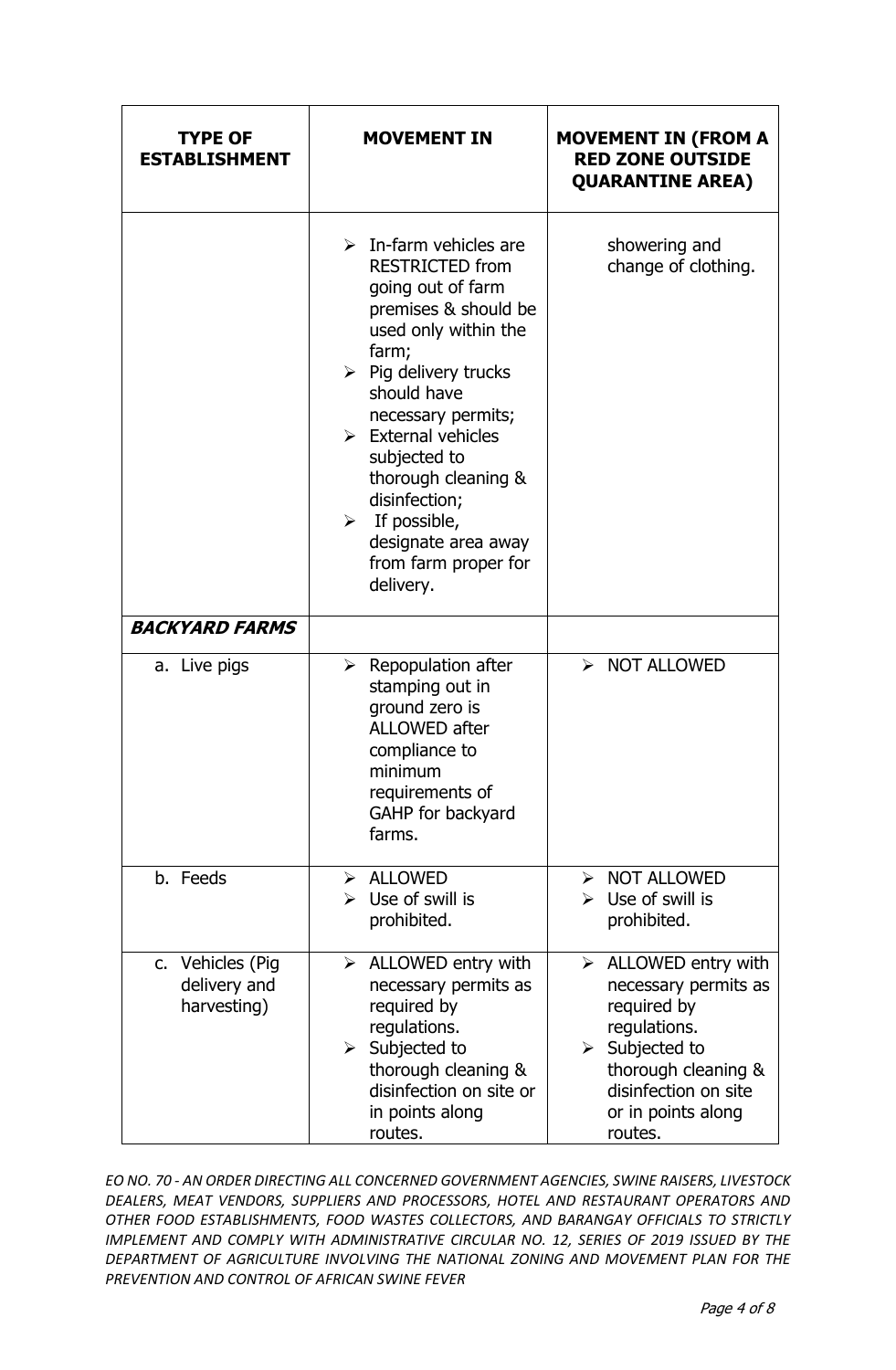| <b>TYPE OF</b><br><b>ESTABLISHMENT</b>          | <b>MOVEMENT IN</b>                                                                                                                                                                                                                                                                                                                                                                                                    | <b>MOVEMENT IN (FROM A</b><br><b>RED ZONE OUTSIDE</b><br><b>QUARANTINE AREA)</b>                                                                                                                            |
|-------------------------------------------------|-----------------------------------------------------------------------------------------------------------------------------------------------------------------------------------------------------------------------------------------------------------------------------------------------------------------------------------------------------------------------------------------------------------------------|-------------------------------------------------------------------------------------------------------------------------------------------------------------------------------------------------------------|
|                                                 | $\triangleright$ In-farm vehicles are<br><b>RESTRICTED from</b><br>going out of farm<br>premises & should be<br>used only within the<br>farm;<br>$\triangleright$ Pig delivery trucks<br>should have<br>necessary permits;<br>$\triangleright$ External vehicles<br>subjected to<br>thorough cleaning &<br>disinfection;<br>$\triangleright$ If possible,<br>designate area away<br>from farm proper for<br>delivery. | showering and<br>change of clothing.                                                                                                                                                                        |
| <b>BACKYARD FARMS</b>                           |                                                                                                                                                                                                                                                                                                                                                                                                                       |                                                                                                                                                                                                             |
| a. Live pigs                                    | $\triangleright$ Repopulation after<br>stamping out in<br>ground zero is<br><b>ALLOWED after</b><br>compliance to<br>minimum<br>requirements of<br>GAHP for backyard<br>farms.                                                                                                                                                                                                                                        | > NOT ALLOWED                                                                                                                                                                                               |
| b. Feeds                                        | $\triangleright$ ALLOWED<br>Use of swill is<br>$\blacktriangleright$<br>prohibited.                                                                                                                                                                                                                                                                                                                                   | $\triangleright$ NOT ALLOWED<br>$\triangleright$ Use of swill is<br>prohibited.                                                                                                                             |
| c. Vehicles (Pig<br>delivery and<br>harvesting) | $\triangleright$ ALLOWED entry with<br>necessary permits as<br>required by<br>regulations.<br>$\triangleright$ Subjected to<br>thorough cleaning &<br>disinfection on site or<br>in points along<br>routes.                                                                                                                                                                                                           | $\triangleright$ ALLOWED entry with<br>necessary permits as<br>required by<br>regulations.<br>$\triangleright$ Subjected to<br>thorough cleaning &<br>disinfection on site<br>or in points along<br>routes. |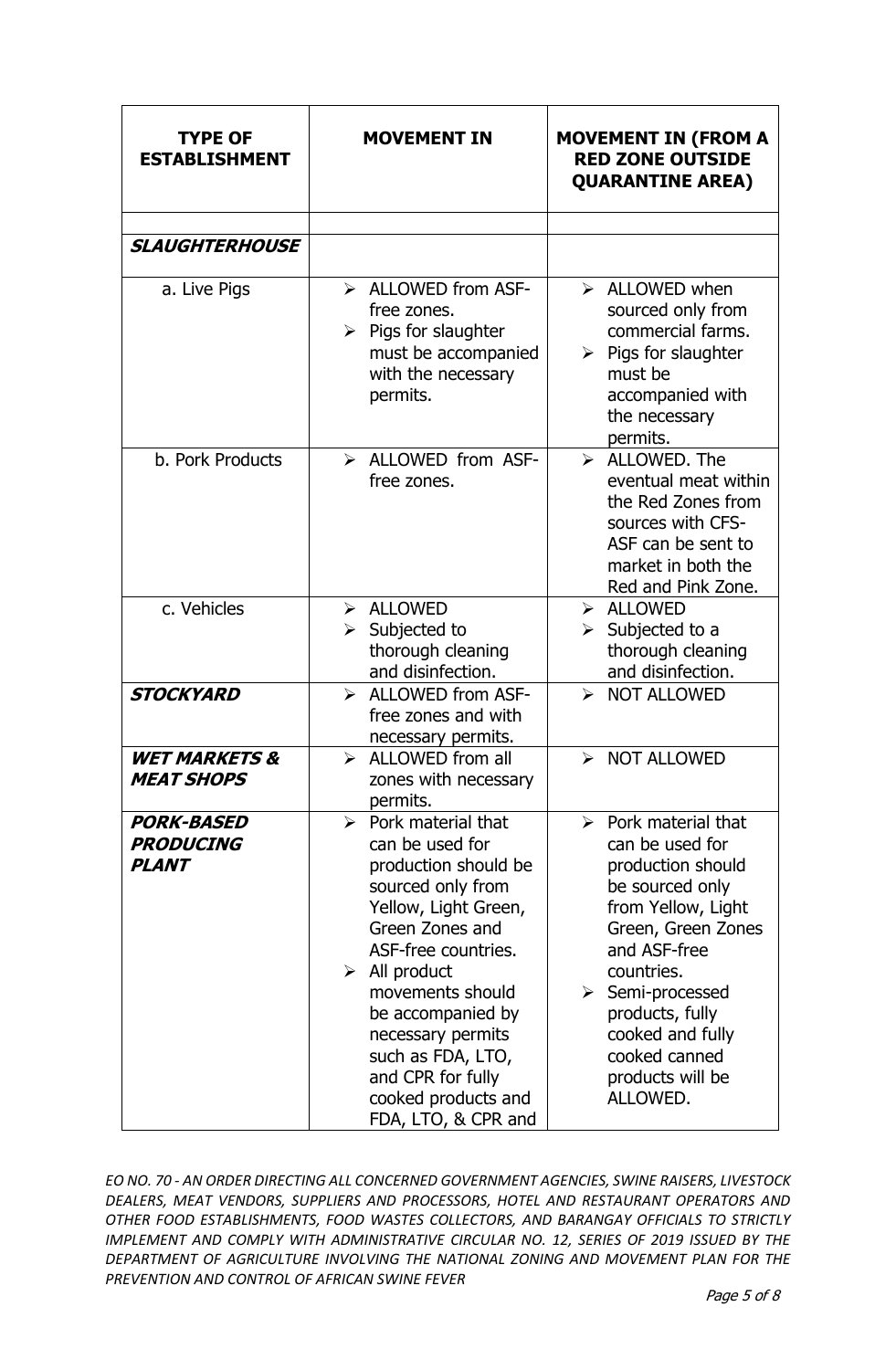| <b>TYPE OF</b><br><b>ESTABLISHMENT</b>                | <b>MOVEMENT IN</b>                                                                                                                                                                                                                                                                                                                                          | <b>MOVEMENT IN (FROM A</b><br><b>RED ZONE OUTSIDE</b><br><b>QUARANTINE AREA)</b>                                                                                                                                                                                                                    |
|-------------------------------------------------------|-------------------------------------------------------------------------------------------------------------------------------------------------------------------------------------------------------------------------------------------------------------------------------------------------------------------------------------------------------------|-----------------------------------------------------------------------------------------------------------------------------------------------------------------------------------------------------------------------------------------------------------------------------------------------------|
|                                                       |                                                                                                                                                                                                                                                                                                                                                             |                                                                                                                                                                                                                                                                                                     |
| <b>SLAUGHTERHOUSE</b>                                 |                                                                                                                                                                                                                                                                                                                                                             |                                                                                                                                                                                                                                                                                                     |
| a. Live Pigs                                          | $\triangleright$ ALLOWED from ASF-<br>free zones.<br>$\triangleright$ Pigs for slaughter<br>must be accompanied<br>with the necessary<br>permits.                                                                                                                                                                                                           | $\triangleright$ ALLOWED when<br>sourced only from<br>commercial farms.<br>$\triangleright$ Pigs for slaughter<br>must be<br>accompanied with<br>the necessary<br>permits.                                                                                                                          |
| b. Pork Products                                      | $\triangleright$ ALLOWED from ASF-<br>free zones.                                                                                                                                                                                                                                                                                                           | $\triangleright$ ALLOWED. The<br>eventual meat within<br>the Red Zones from<br>sources with CFS-<br>ASF can be sent to<br>market in both the<br>Red and Pink Zone.                                                                                                                                  |
| c. Vehicles                                           | > ALLOWED<br>Subjected to<br>≻<br>thorough cleaning<br>and disinfection.                                                                                                                                                                                                                                                                                    | $\triangleright$ ALLOWED<br>$\triangleright$ Subjected to a<br>thorough cleaning<br>and disinfection.                                                                                                                                                                                               |
| <b>STOCKYARD</b>                                      | > ALLOWED from ASF-<br>free zones and with<br>necessary permits.                                                                                                                                                                                                                                                                                            | > NOT ALLOWED                                                                                                                                                                                                                                                                                       |
| <b>WET MARKETS &amp;</b><br><b>MEAT SHOPS</b>         | ALLOWED from all<br>$\blacktriangleright$<br>zones with necessary<br>permits.                                                                                                                                                                                                                                                                               | <b>NOT ALLOWED</b><br>$\blacktriangleright$                                                                                                                                                                                                                                                         |
| <b>PORK-BASED</b><br><b>PRODUCING</b><br><b>PLANT</b> | $\triangleright$ Pork material that<br>can be used for<br>production should be<br>sourced only from<br>Yellow, Light Green,<br>Green Zones and<br>ASF-free countries.<br>$\triangleright$ All product<br>movements should<br>be accompanied by<br>necessary permits<br>such as FDA, LTO,<br>and CPR for fully<br>cooked products and<br>FDA, LTO, & CPR and | $\triangleright$ Pork material that<br>can be used for<br>production should<br>be sourced only<br>from Yellow, Light<br>Green, Green Zones<br>and ASF-free<br>countries.<br>$\triangleright$ Semi-processed<br>products, fully<br>cooked and fully<br>cooked canned<br>products will be<br>ALLOWED. |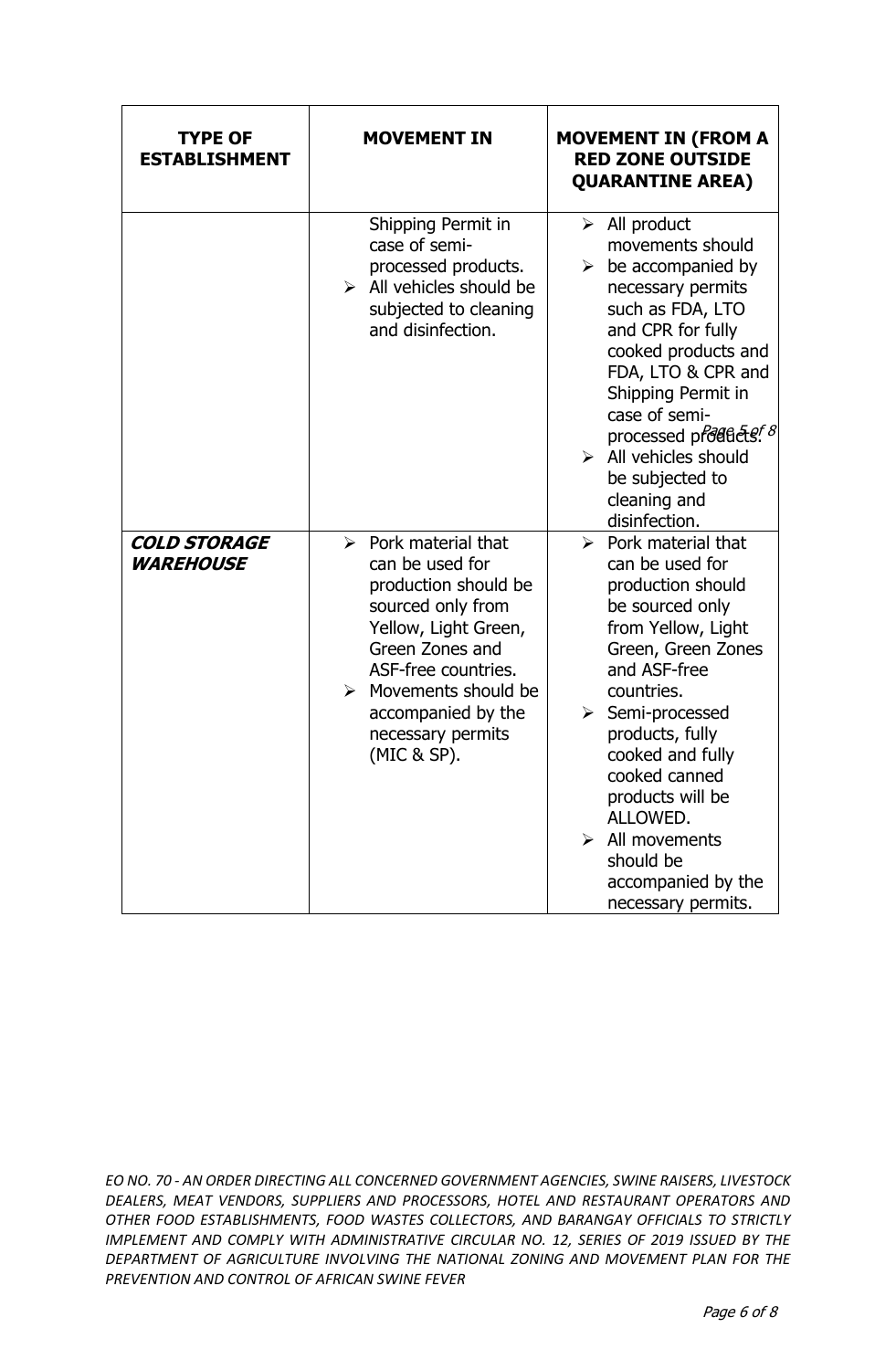| <b>TYPE OF</b><br><b>ESTABLISHMENT</b>         | <b>MOVEMENT IN</b>                                                                                                                                                                                                                                          | <b>MOVEMENT IN (FROM A</b><br><b>RED ZONE OUTSIDE</b><br><b>QUARANTINE AREA)</b>                                                                                                                                                                                                                                                                                                               |
|------------------------------------------------|-------------------------------------------------------------------------------------------------------------------------------------------------------------------------------------------------------------------------------------------------------------|------------------------------------------------------------------------------------------------------------------------------------------------------------------------------------------------------------------------------------------------------------------------------------------------------------------------------------------------------------------------------------------------|
|                                                | Shipping Permit in<br>case of semi-<br>processed products.<br>$\triangleright$ All vehicles should be<br>subjected to cleaning<br>and disinfection.                                                                                                         | $\triangleright$ All product<br>movements should<br>$\triangleright$ be accompanied by<br>necessary permits<br>such as FDA, LTO<br>and CPR for fully<br>cooked products and<br>FDA, LTO & CPR and<br>Shipping Permit in<br>case of semi-<br>processed products <sup>f 8</sup><br>$\triangleright$ All vehicles should<br>be subjected to<br>cleaning and<br>disinfection.                      |
| <b>COLD STORAGE</b><br><b><i>WAREHOUSE</i></b> | $\triangleright$ Pork material that<br>can be used for<br>production should be<br>sourced only from<br>Yellow, Light Green,<br>Green Zones and<br>ASF-free countries.<br>Movements should be<br>➤<br>accompanied by the<br>necessary permits<br>(MIC & SP). | $\triangleright$ Pork material that<br>can be used for<br>production should<br>be sourced only<br>from Yellow, Light<br>Green, Green Zones<br>and ASF-free<br>countries.<br>$\triangleright$ Semi-processed<br>products, fully<br>cooked and fully<br>cooked canned<br>products will be<br>ALLOWED.<br>$\triangleright$ All movements<br>should be<br>accompanied by the<br>necessary permits. |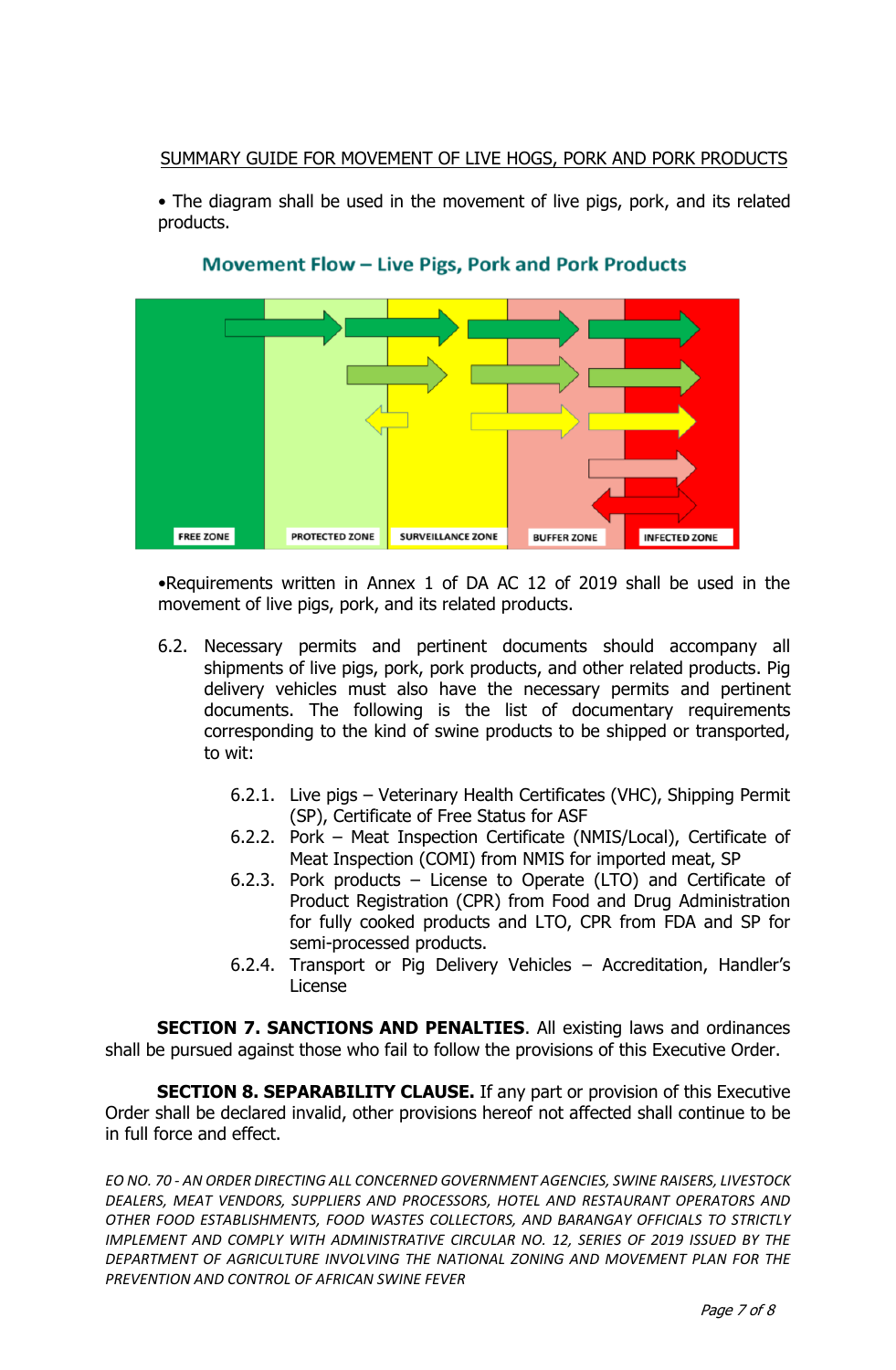## SUMMARY GUIDE FOR MOVEMENT OF LIVE HOGS, PORK AND PORK PRODUCTS

• The diagram shall be used in the movement of live pigs, pork, and its related products.





•Requirements written in Annex 1 of DA AC 12 of 2019 shall be used in the movement of live pigs, pork, and its related products.

- 6.2. Necessary permits and pertinent documents should accompany all shipments of live pigs, pork, pork products, and other related products. Pig delivery vehicles must also have the necessary permits and pertinent documents. The following is the list of documentary requirements corresponding to the kind of swine products to be shipped or transported, to wit:
	- 6.2.1. Live pigs Veterinary Health Certificates (VHC), Shipping Permit (SP), Certificate of Free Status for ASF
	- 6.2.2. Pork Meat Inspection Certificate (NMIS/Local), Certificate of Meat Inspection (COMI) from NMIS for imported meat, SP
	- 6.2.3. Pork products License to Operate (LTO) and Certificate of Product Registration (CPR) from Food and Drug Administration for fully cooked products and LTO, CPR from FDA and SP for semi-processed products.
	- 6.2.4. Transport or Pig Delivery Vehicles Accreditation, Handler's License

**SECTION 7. SANCTIONS AND PENALTIES.** All existing laws and ordinances shall be pursued against those who fail to follow the provisions of this Executive Order.

**SECTION 8. SEPARABILITY CLAUSE.** If any part or provision of this Executive Order shall be declared invalid, other provisions hereof not affected shall continue to be in full force and effect.